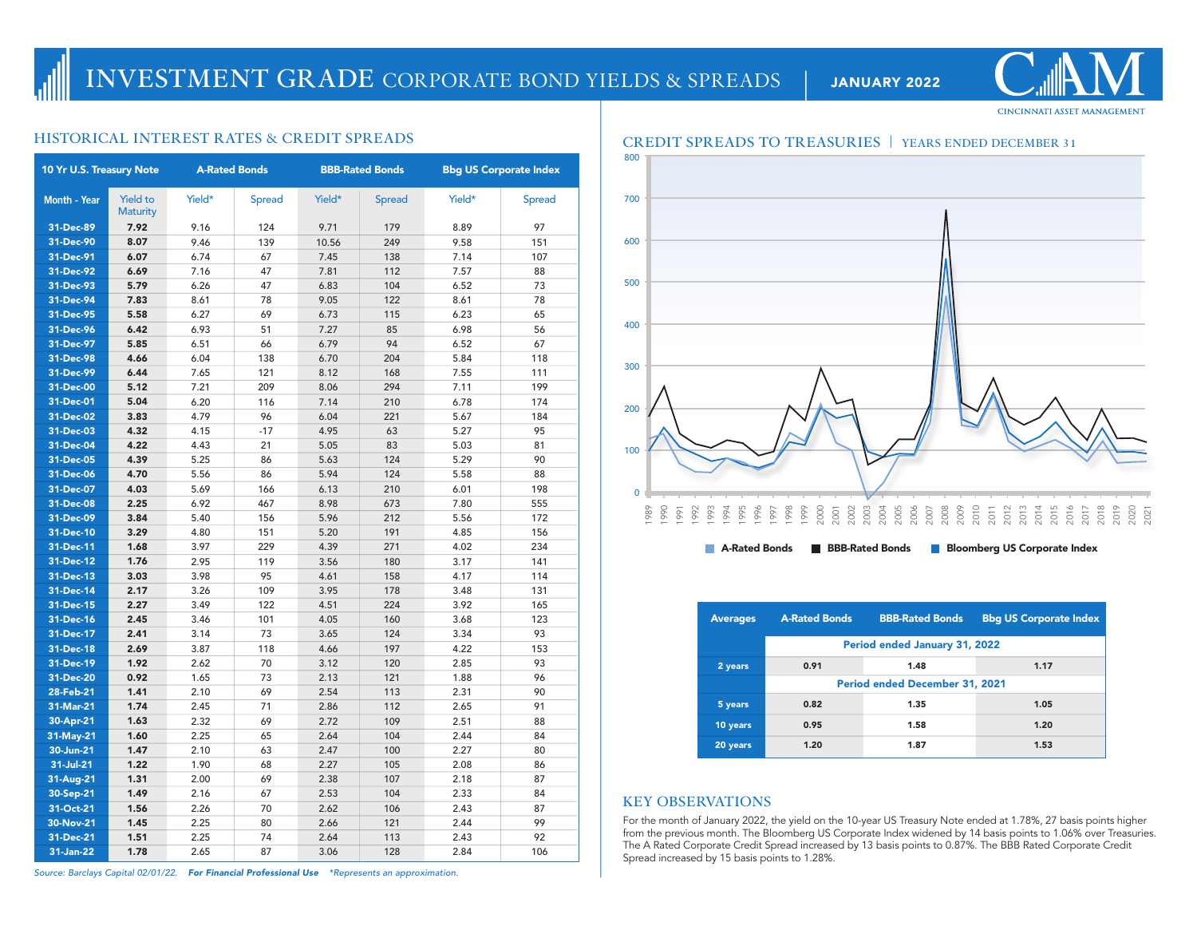## **CINCINNATI ASSET MANAGEMENT**

| 10 Yr U.S. Treasury Note |                                    | <b>A-Rated Bonds</b> |               | <b>BBB-Rated Bonds</b> |               | <b>Bbg US Corporate Index</b> |               |
|--------------------------|------------------------------------|----------------------|---------------|------------------------|---------------|-------------------------------|---------------|
| Month - Year             | <b>Yield to</b><br><b>Maturity</b> | Yield*               | <b>Spread</b> | Yield*                 | <b>Spread</b> | Yield*                        | <b>Spread</b> |
| 31-Dec-89                | 7.92                               | 9.16                 | 124           | 9.71                   | 179           | 8.89                          | 97            |
| 31-Dec-90                | 8.07                               | 9.46                 | 139           | 10.56                  | 249           | 9.58                          | 151           |
| 31-Dec-91                | 6.07                               | 6.74                 | 67            | 7.45                   | 138           | 7.14                          | 107           |
| 31-Dec-92                | 6.69                               | 7.16                 | 47            | 7.81                   | 112           | 7.57                          | 88            |
| 31-Dec-93                | 5.79                               | 6.26                 | 47            | 6.83                   | 104           | 6.52                          | 73            |
| 31-Dec-94                | 7.83                               | 8.61                 | 78            | 9.05                   | 122           | 8.61                          | 78            |
| 31-Dec-95                | 5.58                               | 6.27                 | 69            | 6.73                   | 115           | 6.23                          | 65            |
| 31-Dec-96                | 6.42                               | 6.93                 | 51            | 7.27                   | 85            | 6.98                          | 56            |
| 31-Dec-97                | 5.85                               | 6.51                 | 66            | 6.79                   | 94            | 6.52                          | 67            |
| 31-Dec-98                | 4.66                               | 6.04                 | 138           | 6.70                   | 204           | 5.84                          | 118           |
| 31-Dec-99                | 6.44                               | 7.65                 | 121           | 8.12                   | 168           | 7.55                          | 111           |
| 31-Dec-00                | 5.12                               | 7.21                 | 209           | 8.06                   | 294           | 7.11                          | 199           |
| 31-Dec-01                | 5.04                               | 6.20                 | 116           | 7.14                   | 210           | 6.78                          | 174           |
| 31-Dec-02                | 3.83                               | 4.79                 | 96            | 6.04                   | 221           | 5.67                          | 184           |
| 31-Dec-03                | 4.32                               | 4.15                 | $-17$         | 4.95                   | 63            | 5.27                          | 95            |
| 31-Dec-04                | 4.22                               | 4.43                 | 21            | 5.05                   | 83            | 5.03                          | 81            |
| 31-Dec-05                | 4.39                               | 5.25                 | 86            | 5.63                   | 124           | 5.29                          | 90            |
| 31-Dec-06                | 4.70                               | 5.56                 | 86            | 5.94                   | 124           | 5.58                          | 88            |
| 31-Dec-07                | 4.03                               | 5.69                 | 166           | 6.13                   | 210           | 6.01                          | 198           |
| 31-Dec-08                | 2.25                               | 6.92                 | 467           | 8.98                   | 673           | 7.80                          | 555           |
| 31-Dec-09                | 3.84                               | 5.40                 | 156           | 5.96                   | 212           | 5.56                          | 172           |
| 31-Dec-10                | 3.29                               | 4.80                 | 151           | 5.20                   | 191           | 4.85                          | 156           |
| 31-Dec-11                | 1.68                               | 3.97                 | 229           | 4.39                   | 271           | 4.02                          | 234           |
| 31-Dec-12                | 1.76                               | 2.95                 | 119           | 3.56                   | 180           | 3.17                          | 141           |
| 31-Dec-13                | 3.03                               | 3.98                 | 95            | 4.61                   | 158           | 4.17                          | 114           |
| 31-Dec-14                | 2.17                               | 3.26                 | 109           | 3.95                   | 178           | 3.48                          | 131           |
| 31-Dec-15                | 2.27                               | 3.49                 | 122           | 4.51                   | 224           | 3.92                          | 165           |
| 31-Dec-16                | 2.45                               | 3.46                 | 101           | 4.05                   | 160           | 3.68                          | 123           |
| 31-Dec-17                | 2.41                               | 3.14                 | 73            | 3.65                   | 124           | 3.34                          | 93            |
| 31-Dec-18                | 2.69                               | 3.87                 | 118           | 4.66                   | 197           | 4.22                          | 153           |
| 31-Dec-19                | 1.92                               | 2.62                 | 70            | 3.12                   | 120           | 2.85                          | 93            |
| 31-Dec-20                | 0.92                               | 1.65                 | 73            | 2.13                   | 121           | 1.88                          | 96            |
| 28-Feb-21                | 1.41                               | 2.10                 | 69            | 2.54                   | 113           | 2.31                          | 90            |
| 31-Mar-21                | 1.74                               | 2.45                 | 71            | 2.86                   | 112           | 2.65                          | 91            |
| 30-Apr-21                | 1.63                               | 2.32                 | 69            | 2.72                   | 109           | 2.51                          | 88            |
| 31-May-21                | 1.60                               | 2.25                 | 65            | 2.64                   | 104           | 2.44                          | 84            |
| 30-Jun-21                | 1.47                               | 2.10                 | 63            | 2.47                   | 100           | 2.27                          | 80            |
| 31-Jul-21                | 1.22                               | 1.90                 | 68            | 2.27                   | 105           | 2.08                          | 86            |
| 31-Aug-21                | 1.31                               | 2.00                 | 69            | 2.38                   | 107           | 2.18                          | 87            |
| 30-Sep-21                | 1.49                               | 2.16                 | 67            | 2.53                   | 104           | 2.33                          | 84            |
| 31-Oct-21                | 1.56                               | 2.26                 | 70            | 2.62                   | 106           | 2.43                          | 87            |
| 30-Nov-21                | 1.45                               | 2.25                 | 80            | 2.66                   | 121           | 2.44                          | 99            |
| 31-Dec-21                | 1.51                               | 2.25                 | 74            | 2.64                   | 113           | 2.43                          | 92            |
| 31-Jan-22                | 1.78                               | 2.65                 | 87            | 3.06                   | 128           | 2.84                          | 106           |



| <b>Averages</b> | <b>A-Rated Bonds</b>                  | <b>BBB-Rated Bonds</b> | <b>Bbg US Corporate Index</b> |  |  |  |  |  |  |
|-----------------|---------------------------------------|------------------------|-------------------------------|--|--|--|--|--|--|
|                 | Period ended January 31, 2022         |                        |                               |  |  |  |  |  |  |
| 2 years         | 0.91                                  | 1.48                   | 1.17                          |  |  |  |  |  |  |
|                 | <b>Period ended December 31, 2021</b> |                        |                               |  |  |  |  |  |  |
| 5 years         | 0.82                                  | 1.35                   | 1.05                          |  |  |  |  |  |  |
| 10 years        | 0.95                                  | 1.58                   | 1.20                          |  |  |  |  |  |  |
| 20 years        | 1.20                                  | 1.87                   | 1.53                          |  |  |  |  |  |  |

### **KEY OBSERVATIONS**

For the month of January 2022, the yield on the 10-year US Treasury Note ended at 1.78%, 27 basis points higher from the previous month. The Bloomberg US Corporate Index widened by 14 basis points to 1.06% over Treasuries. The A Rated Corporate Credit Spread increased by 13 basis points to 0.87%. The BBB Rated Corporate Credit Spread increased by 15 basis points to 1.28%.